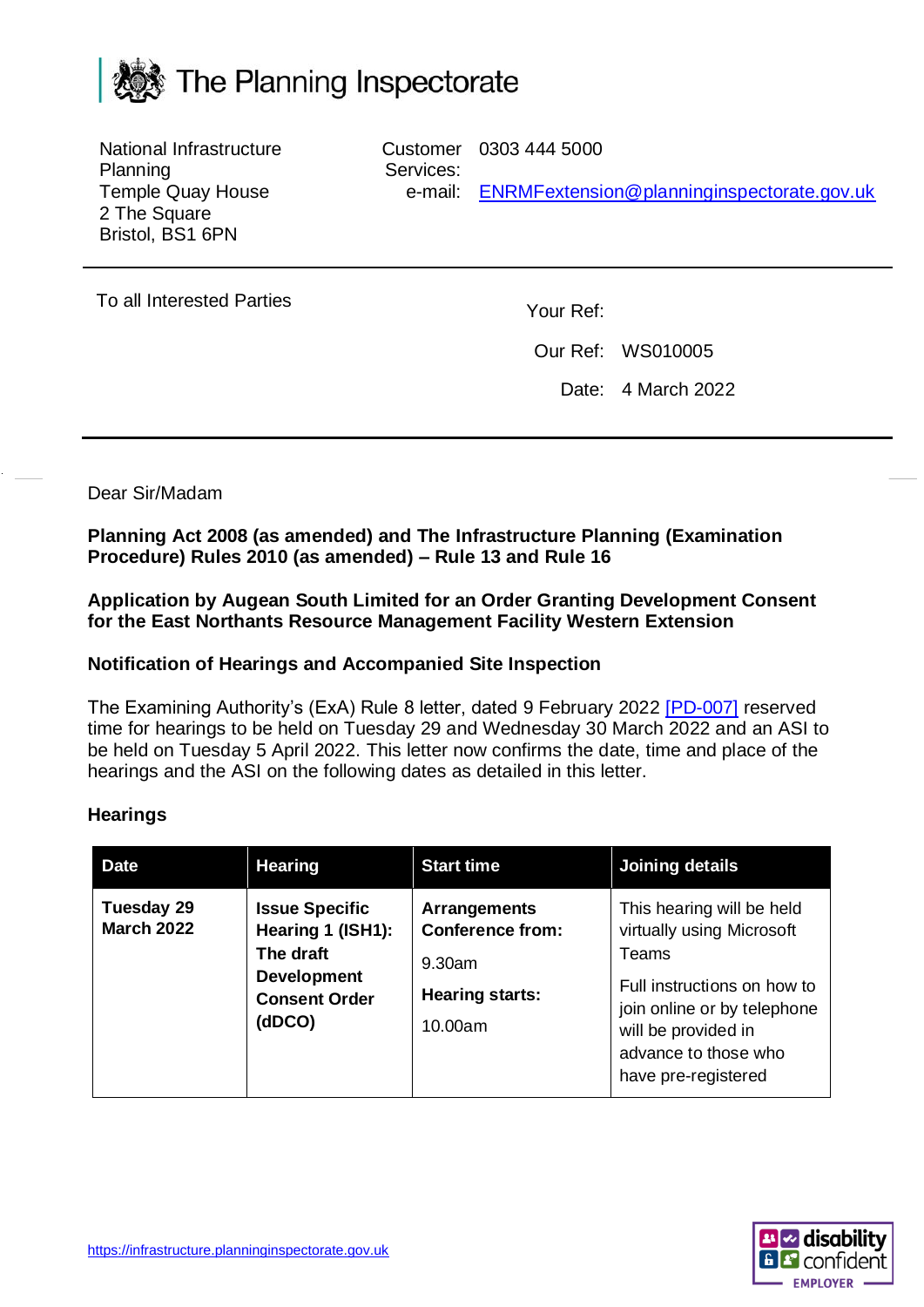

National Infrastructure Planning Temple Quay House 2 The Square Bristol, BS1 6PN

Customer 0303 444 5000 Services: e-mail: [ENRMFextension@planninginspectorate.gov.uk](mailto:ENRMFextension@planninginspectorate.gov.uk)

To all Interested Parties To all Interested Parties

Our Ref: WS010005

Date: 4 March 2022

Dear Sir/Madam

**Planning Act 2008 (as amended) and The Infrastructure Planning (Examination Procedure) Rules 2010 (as amended) – Rule 13 and Rule 16**

**Application by Augean South Limited for an Order Granting Development Consent for the East Northants Resource Management Facility Western Extension**

## **Notification of Hearings and Accompanied Site Inspection**

The Examining Authority's (ExA) Rule 8 letter, dated 9 February 2022 [\[PD-007\]](https://infrastructure.planninginspectorate.gov.uk/wp-content/ipc/uploads/projects/WS010005/WS010005-000434-ENRMWFE%20Rule%208%20Letter.pdf) reserved time for hearings to be held on Tuesday 29 and Wednesday 30 March 2022 and an ASI to be held on Tuesday 5 April 2022. This letter now confirms the date, time and place of the hearings and the ASI on the following dates as detailed in this letter.

## **Hearings**

| <b>Date</b>                     | <b>Hearing</b>                                                                                                  | <b>Start time</b>                                                                                | Joining details                                                                                                                                                                                     |
|---------------------------------|-----------------------------------------------------------------------------------------------------------------|--------------------------------------------------------------------------------------------------|-----------------------------------------------------------------------------------------------------------------------------------------------------------------------------------------------------|
| Tuesday 29<br><b>March 2022</b> | <b>Issue Specific</b><br>Hearing 1 (ISH1):<br>The draft<br><b>Development</b><br><b>Consent Order</b><br>(dDCO) | <b>Arrangements</b><br><b>Conference from:</b><br>$9.30$ am<br><b>Hearing starts:</b><br>10.00am | This hearing will be held<br>virtually using Microsoft<br>Teams<br>Full instructions on how to<br>join online or by telephone<br>will be provided in<br>advance to those who<br>have pre-registered |

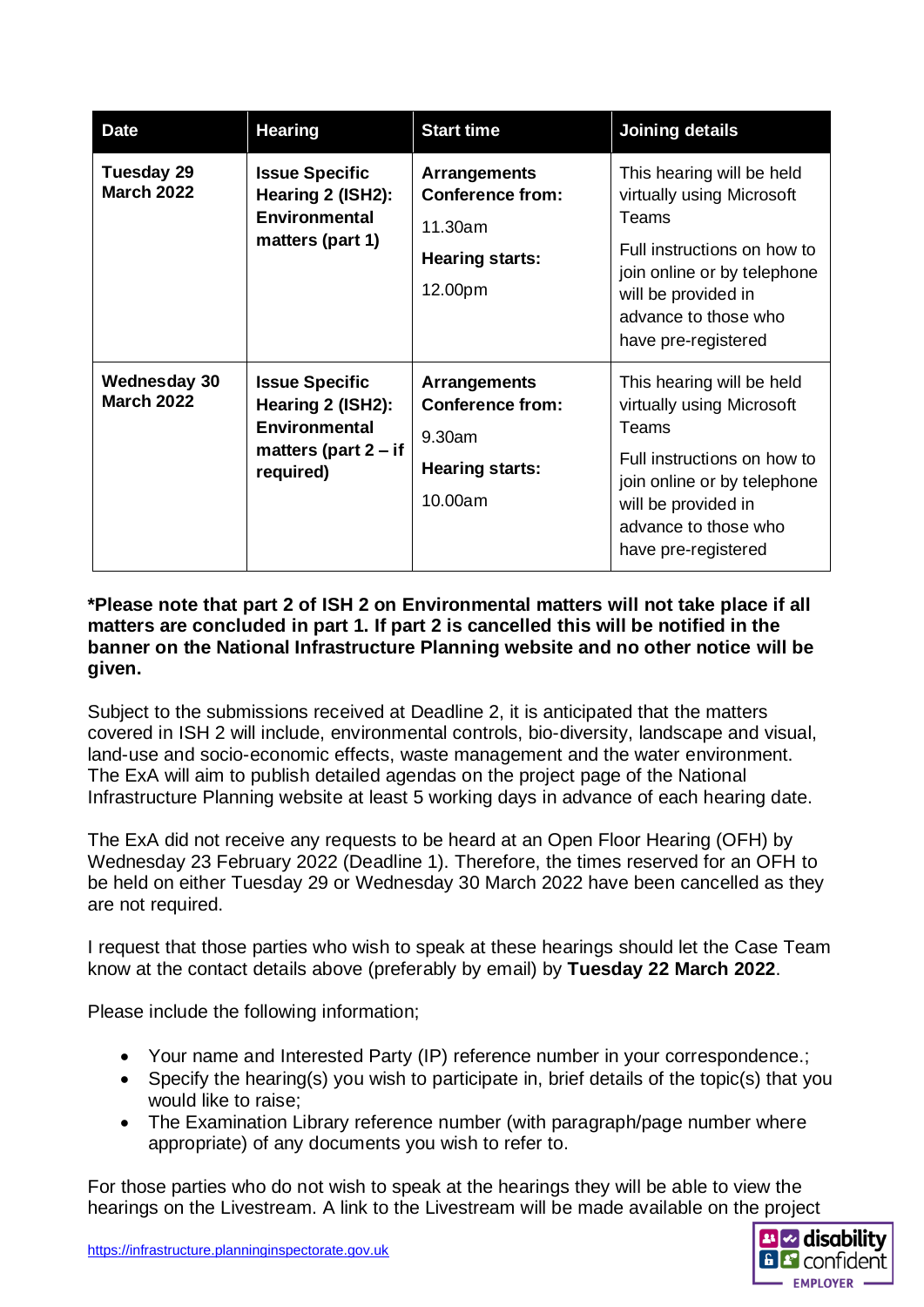| <b>Date</b>                              | <b>Hearing</b>                                                                                            | <b>Start time</b>                                                                              | <b>Joining details</b>                                                                                                                                                                                     |
|------------------------------------------|-----------------------------------------------------------------------------------------------------------|------------------------------------------------------------------------------------------------|------------------------------------------------------------------------------------------------------------------------------------------------------------------------------------------------------------|
| Tuesday 29<br><b>March 2022</b>          | <b>Issue Specific</b><br>Hearing 2 (ISH2):<br><b>Environmental</b><br>matters (part 1)                    | <b>Arrangements</b><br><b>Conference from:</b><br>11.30am<br><b>Hearing starts:</b><br>12.00pm | This hearing will be held<br>virtually using Microsoft<br>Teams<br>Full instructions on how to<br>join online or by telephone<br>will be provided in<br>advance to those who<br>have pre-registered        |
| <b>Wednesday 30</b><br><b>March 2022</b> | <b>Issue Specific</b><br>Hearing 2 (ISH2):<br><b>Environmental</b><br>matters (part $2 - if$<br>required) | <b>Arrangements</b><br><b>Conference from:</b><br>9.30am<br><b>Hearing starts:</b><br>10.00am  | This hearing will be held<br>virtually using Microsoft<br><b>Teams</b><br>Full instructions on how to<br>join online or by telephone<br>will be provided in<br>advance to those who<br>have pre-registered |

## **\*Please note that part 2 of ISH 2 on Environmental matters will not take place if all matters are concluded in part 1. If part 2 is cancelled this will be notified in the banner on the National Infrastructure Planning website and no other notice will be given.**

Subject to the submissions received at Deadline 2, it is anticipated that the matters covered in ISH 2 will include, environmental controls, bio-diversity, landscape and visual, land-use and socio-economic effects, waste management and the water environment. The ExA will aim to publish detailed agendas on the project page of the National Infrastructure Planning website at least 5 working days in advance of each hearing date.

The ExA did not receive any requests to be heard at an Open Floor Hearing (OFH) by Wednesday 23 February 2022 (Deadline 1). Therefore, the times reserved for an OFH to be held on either Tuesday 29 or Wednesday 30 March 2022 have been cancelled as they are not required.

I request that those parties who wish to speak at these hearings should let the Case Team know at the contact details above (preferably by email) by **Tuesday 22 March 2022**.

Please include the following information;

- Your name and Interested Party (IP) reference number in your correspondence.;
- Specify the hearing(s) you wish to participate in, brief details of the topic(s) that you would like to raise;
- The Examination Library reference number (with paragraph/page number where appropriate) of any documents you wish to refer to.

For those parties who do not wish to speak at the hearings they will be able to view the hearings on the Livestream. A link to the Livestream will be made available on the project

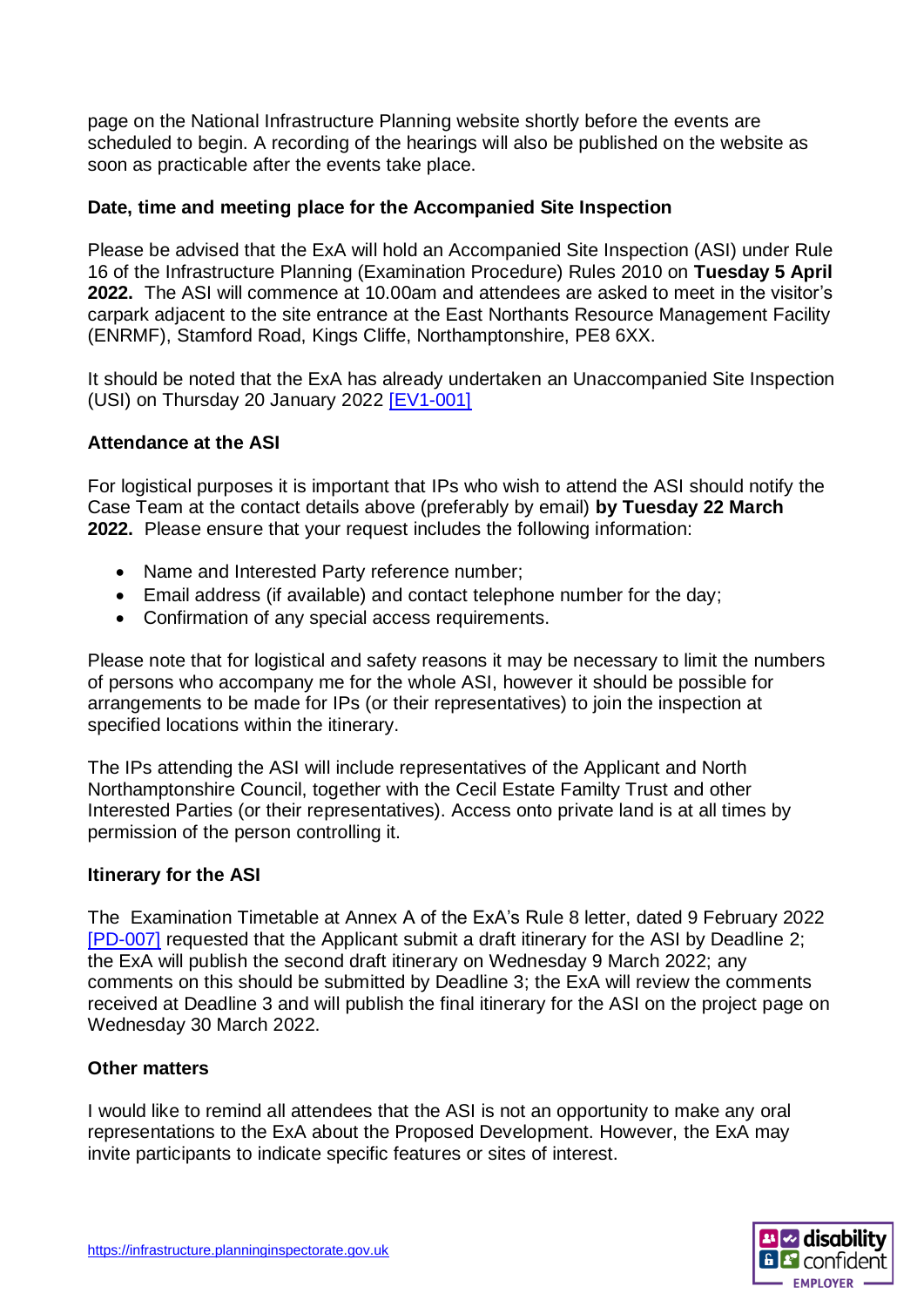page on the National Infrastructure Planning website shortly before the events are scheduled to begin. A recording of the hearings will also be published on the website as soon as practicable after the events take place.

## **Date, time and meeting place for the Accompanied Site Inspection**

Please be advised that the ExA will hold an Accompanied Site Inspection (ASI) under Rule 16 of the Infrastructure Planning (Examination Procedure) Rules 2010 on **Tuesday 5 April 2022.** The ASI will commence at 10.00am and attendees are asked to meet in the visitor's carpark adjacent to the site entrance at the East Northants Resource Management Facility (ENRMF), Stamford Road, Kings Cliffe, Northamptonshire, PE8 6XX.

It should be noted that the ExA has already undertaken an Unaccompanied Site Inspection (USI) on Thursday 20 January 2022 [\[EV1-001\]](https://infrastructure.planninginspectorate.gov.uk/wp-content/ipc/uploads/projects/WS010005/WS010005-000422-ENRMFWE%20USI1%20Note%20v1.pdf)

# **Attendance at the ASI**

For logistical purposes it is important that IPs who wish to attend the ASI should notify the Case Team at the contact details above (preferably by email) **by Tuesday 22 March 2022.** Please ensure that your request includes the following information:

- Name and Interested Party reference number;
- Email address (if available) and contact telephone number for the day;
- Confirmation of any special access requirements.

Please note that for logistical and safety reasons it may be necessary to limit the numbers of persons who accompany me for the whole ASI, however it should be possible for arrangements to be made for IPs (or their representatives) to join the inspection at specified locations within the itinerary.

The IPs attending the ASI will include representatives of the Applicant and North Northamptonshire Council, together with the Cecil Estate Familty Trust and other Interested Parties (or their representatives). Access onto private land is at all times by permission of the person controlling it.

## **Itinerary for the ASI**

The Examination Timetable at Annex A of the ExA's Rule 8 letter, dated 9 February 2022 [\[PD-007\]](https://infrastructure.planninginspectorate.gov.uk/wp-content/ipc/uploads/projects/WS010005/WS010005-000434-ENRMWFE%20Rule%208%20Letter.pdf) requested that the Applicant submit a draft itinerary for the ASI by Deadline 2; the ExA will publish the second draft itinerary on Wednesday 9 March 2022; any comments on this should be submitted by Deadline 3; the ExA will review the comments received at Deadline 3 and will publish the final itinerary for the ASI on the project page on Wednesday 30 March 2022.

## **Other matters**

I would like to remind all attendees that the ASI is not an opportunity to make any oral representations to the ExA about the Proposed Development. However, the ExA may invite participants to indicate specific features or sites of interest.